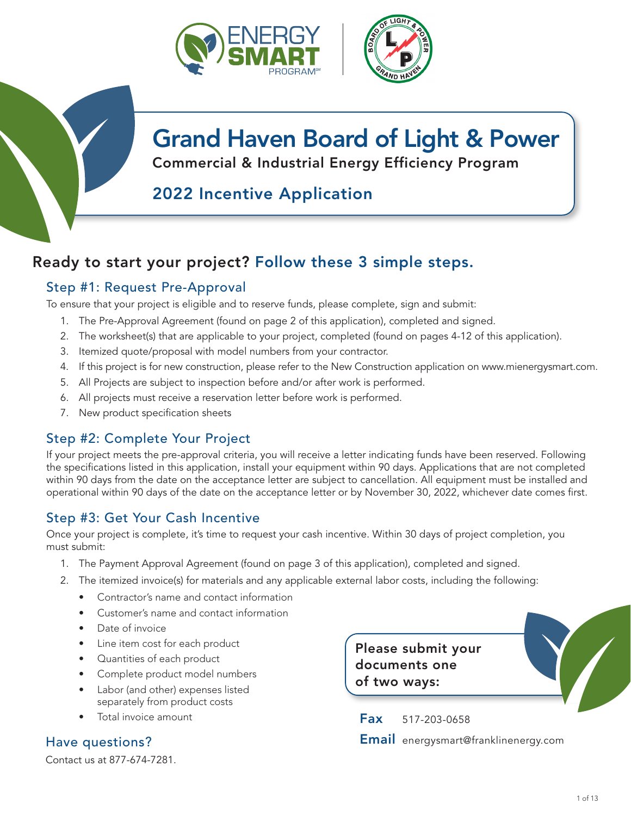



# Grand Haven Board of Light & Power

Commercial & Industrial Energy Efficiency Program

## 2022 Incentive Application

## Ready to start your project? Follow these 3 simple steps.

### Step #1: Request Pre-Approval

To ensure that your project is eligible and to reserve funds, please complete, sign and submit:

- 1. The Pre-Approval Agreement (found on page 2 of this application), completed and signed.
- 2. The worksheet(s) that are applicable to your project, completed (found on pages 4-12 of this application).
- 3. Itemized quote/proposal with model numbers from your contractor.
- 4. If this project is for new construction, please refer to the New Construction application on www.mienergysmart.com.
- 5. All Projects are subject to inspection before and/or after work is performed.
- 6. All projects must receive a reservation letter before work is performed.
- 7. New product specification sheets

### Step #2: Complete Your Project

If your project meets the pre-approval criteria, you will receive a letter indicating funds have been reserved. Following the specifications listed in this application, install your equipment within 90 days. Applications that are not completed within 90 days from the date on the acceptance letter are subject to cancellation. All equipment must be installed and operational within 90 days of the date on the acceptance letter or by November 30, 2022, whichever date comes first.

### Step #3: Get Your Cash Incentive

Once your project is complete, it's time to request your cash incentive. Within 30 days of project completion, you must submit:

- 1. The Payment Approval Agreement (found on page 3 of this application), completed and signed.
- 2. The itemized invoice(s) for materials and any applicable external labor costs, including the following:
	- Contractor's name and contact information
	- Customer's name and contact information
	- Date of invoice
	- Line item cost for each product
	- Quantities of each product
	- Complete product model numbers
	- Labor (and other) expenses listed separately from product costs
	- Total invoice amount

Contact us at 877-674-7281.

Please submit your documents one of two ways:

Fax 517-203-0658 Have questions? Email energysmart@franklinenergy.com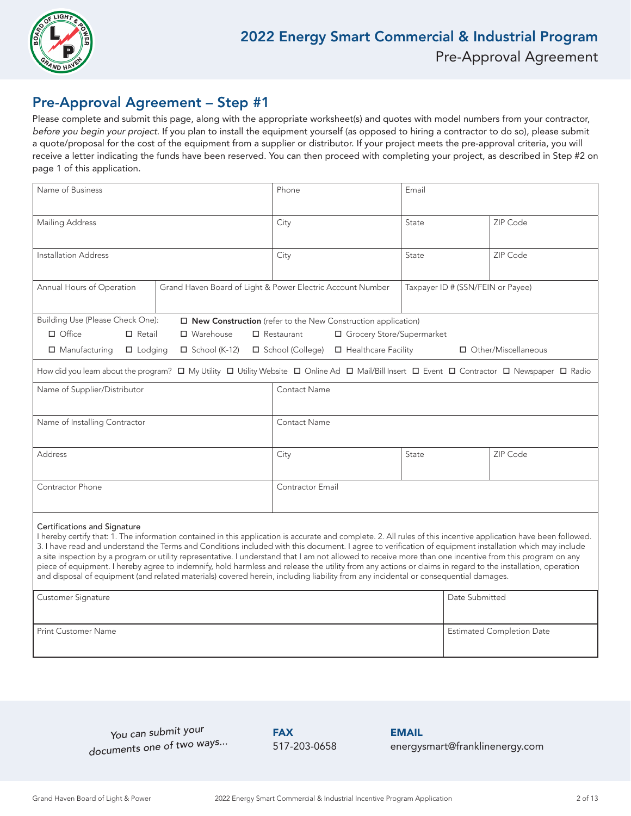

### Pre-Approval Agreement – Step #1

Please complete and submit this page, along with the appropriate worksheet(s) and quotes with model numbers from your contractor, before you begin your project. If you plan to install the equipment yourself (as opposed to hiring a contractor to do so), please submit a quote/proposal for the cost of the equipment from a supplier or distributor. If your project meets the pre-approval criteria, you will receive a letter indicating the funds have been reserved. You can then proceed with completing your project, as described in Step #2 on page 1 of this application.

| Name of Business                                                                                                                                                                                                                                                                                                                                                                                                                                                                                                                                                                                                                                                                                                                                                                                                             |                      | Phone                                                                                                                                       | Email                             |                       |  |  |
|------------------------------------------------------------------------------------------------------------------------------------------------------------------------------------------------------------------------------------------------------------------------------------------------------------------------------------------------------------------------------------------------------------------------------------------------------------------------------------------------------------------------------------------------------------------------------------------------------------------------------------------------------------------------------------------------------------------------------------------------------------------------------------------------------------------------------|----------------------|---------------------------------------------------------------------------------------------------------------------------------------------|-----------------------------------|-----------------------|--|--|
| <b>Mailing Address</b>                                                                                                                                                                                                                                                                                                                                                                                                                                                                                                                                                                                                                                                                                                                                                                                                       |                      | City                                                                                                                                        | State                             | ZIP Code              |  |  |
| <b>Installation Address</b>                                                                                                                                                                                                                                                                                                                                                                                                                                                                                                                                                                                                                                                                                                                                                                                                  |                      | City                                                                                                                                        | State                             | ZIP Code              |  |  |
| Annual Hours of Operation                                                                                                                                                                                                                                                                                                                                                                                                                                                                                                                                                                                                                                                                                                                                                                                                    |                      | Grand Haven Board of Light & Power Electric Account Number                                                                                  | Taxpayer ID # (SSN/FEIN or Payee) |                       |  |  |
| Building Use (Please Check One):                                                                                                                                                                                                                                                                                                                                                                                                                                                                                                                                                                                                                                                                                                                                                                                             |                      | □ New Construction (refer to the New Construction application)                                                                              |                                   |                       |  |  |
| $\Box$ Office<br>$\Box$ Retail                                                                                                                                                                                                                                                                                                                                                                                                                                                                                                                                                                                                                                                                                                                                                                                               | □ Warehouse          | $\Box$ Restaurant<br>□ Grocery Store/Supermarket                                                                                            |                                   |                       |  |  |
| $\Box$ Manufacturing<br>$\Box$ Lodging                                                                                                                                                                                                                                                                                                                                                                                                                                                                                                                                                                                                                                                                                                                                                                                       | $\Box$ School (K-12) | □ School (College)<br>□ Healthcare Facility                                                                                                 |                                   | □ Other/Miscellaneous |  |  |
|                                                                                                                                                                                                                                                                                                                                                                                                                                                                                                                                                                                                                                                                                                                                                                                                                              |                      | How did you learn about the program? □ My Utility □ Utility Website □ Online Ad □ Mail/Bill Insert □ Event □ Contractor □ Newspaper □ Radio |                                   |                       |  |  |
| Name of Supplier/Distributor                                                                                                                                                                                                                                                                                                                                                                                                                                                                                                                                                                                                                                                                                                                                                                                                 |                      | Contact Name                                                                                                                                |                                   |                       |  |  |
| Name of Installing Contractor                                                                                                                                                                                                                                                                                                                                                                                                                                                                                                                                                                                                                                                                                                                                                                                                |                      | <b>Contact Name</b>                                                                                                                         |                                   |                       |  |  |
| <b>Address</b>                                                                                                                                                                                                                                                                                                                                                                                                                                                                                                                                                                                                                                                                                                                                                                                                               |                      | City                                                                                                                                        | State                             | ZIP Code              |  |  |
| Contractor Phone                                                                                                                                                                                                                                                                                                                                                                                                                                                                                                                                                                                                                                                                                                                                                                                                             |                      | Contractor Email                                                                                                                            |                                   |                       |  |  |
| Certifications and Signature<br>I hereby certify that: 1. The information contained in this application is accurate and complete. 2. All rules of this incentive application have been followed.<br>3. I have read and understand the Terms and Conditions included with this document. I agree to verification of equipment installation which may include<br>a site inspection by a program or utility representative. I understand that I am not allowed to receive more than one incentive from this program on any<br>piece of equipment. I hereby agree to indemnify, hold harmless and release the utility from any actions or claims in regard to the installation, operation<br>and disposal of equipment (and related materials) covered herein, including liability from any incidental or consequential damages. |                      |                                                                                                                                             |                                   |                       |  |  |
| Customer Signature                                                                                                                                                                                                                                                                                                                                                                                                                                                                                                                                                                                                                                                                                                                                                                                                           |                      |                                                                                                                                             |                                   | Date Submitted        |  |  |
| <b>Print Customer Name</b>                                                                                                                                                                                                                                                                                                                                                                                                                                                                                                                                                                                                                                                                                                                                                                                                   |                      | <b>Estimated Completion Date</b>                                                                                                            |                                   |                       |  |  |

*You can submit your documents one of two ways...*

**FAX** 517-203-0658 EMAIL energysmart@franklinenergy.com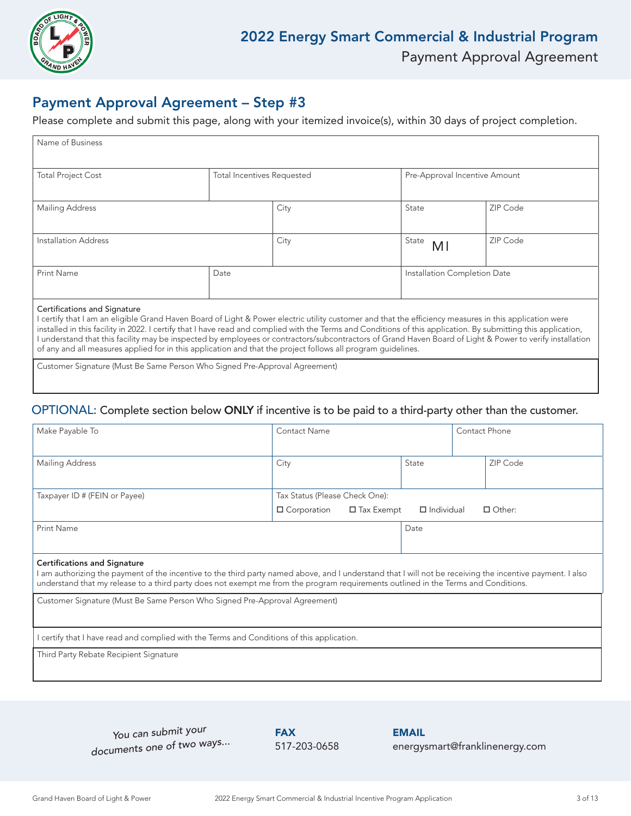

### Payment Approval Agreement – Step #3

Please complete and submit this page, along with your itemized invoice(s), within 30 days of project completion.

| Name of Business             |                            |      |                               |          |
|------------------------------|----------------------------|------|-------------------------------|----------|
|                              |                            |      |                               |          |
|                              |                            |      |                               |          |
|                              |                            |      |                               |          |
| <b>Total Project Cost</b>    | Total Incentives Requested |      | Pre-Approval Incentive Amount |          |
|                              |                            |      |                               |          |
|                              |                            |      |                               |          |
| <b>Mailing Address</b>       |                            | City | State                         | ZIP Code |
|                              |                            |      |                               |          |
|                              |                            |      |                               |          |
|                              |                            |      |                               |          |
| Installation Address         |                            | City | State<br>M <sub>l</sub>       | ZIP Code |
|                              |                            |      |                               |          |
|                              |                            |      |                               |          |
| <b>Print Name</b>            | Date                       |      | Installation Completion Date  |          |
|                              |                            |      |                               |          |
|                              |                            |      |                               |          |
|                              |                            |      |                               |          |
| Cortifications and Signature |                            |      |                               |          |

#### ons and Signatur

I certify that I am an eligible Grand Haven Board of Light & Power electric utility customer and that the efficiency measures in this application were installed in this facility in 2022. I certify that I have read and complied with the Terms and Conditions of this application. By submitting this application, I understand that this facility may be inspected by employees or contractors/subcontractors of Grand Haven Board of Light & Power to verify installation of any and all measures applied for in this application and that the project follows all program guidelines.

Customer Signature (Must Be Same Person Who Signed Pre-Approval Agreement)

### OPTIONAL: Complete section below ONLY if incentive is to be paid to a third-party other than the customer.

| Make Payable To                                                                                                                                                                                                                                                                                                                        | Contact Name                                                               |       | Contact Phone                              |          |  |  |  |
|----------------------------------------------------------------------------------------------------------------------------------------------------------------------------------------------------------------------------------------------------------------------------------------------------------------------------------------|----------------------------------------------------------------------------|-------|--------------------------------------------|----------|--|--|--|
| Mailing Address                                                                                                                                                                                                                                                                                                                        | City                                                                       | State |                                            | ZIP Code |  |  |  |
| Taxpayer ID # (FEIN or Payee)                                                                                                                                                                                                                                                                                                          | Tax Status (Please Check One):                                             |       |                                            |          |  |  |  |
| $\Box$ Corporation<br>$\Box$ Tax Exempt<br>Print Name                                                                                                                                                                                                                                                                                  |                                                                            |       | $\Box$ Individual<br>$\Box$ Other:<br>Date |          |  |  |  |
| <b>Certifications and Signature</b><br>l am authorizing the payment of the incentive to the third party named above, and I understand that I will not be receiving the incentive payment. I also<br>understand that my release to a third party does not exempt me from the program requirements outlined in the Terms and Conditions. |                                                                            |       |                                            |          |  |  |  |
|                                                                                                                                                                                                                                                                                                                                        | Customer Signature (Must Be Same Person Who Signed Pre-Approval Agreement) |       |                                            |          |  |  |  |
| certify that I have read and complied with the Terms and Conditions of this application.                                                                                                                                                                                                                                               |                                                                            |       |                                            |          |  |  |  |
| Third Party Rebate Recipient Signature                                                                                                                                                                                                                                                                                                 |                                                                            |       |                                            |          |  |  |  |

*You can submit your documents one of two ways...*

**FAX** 517-203-0658 EMAIL energysmart@franklinenergy.com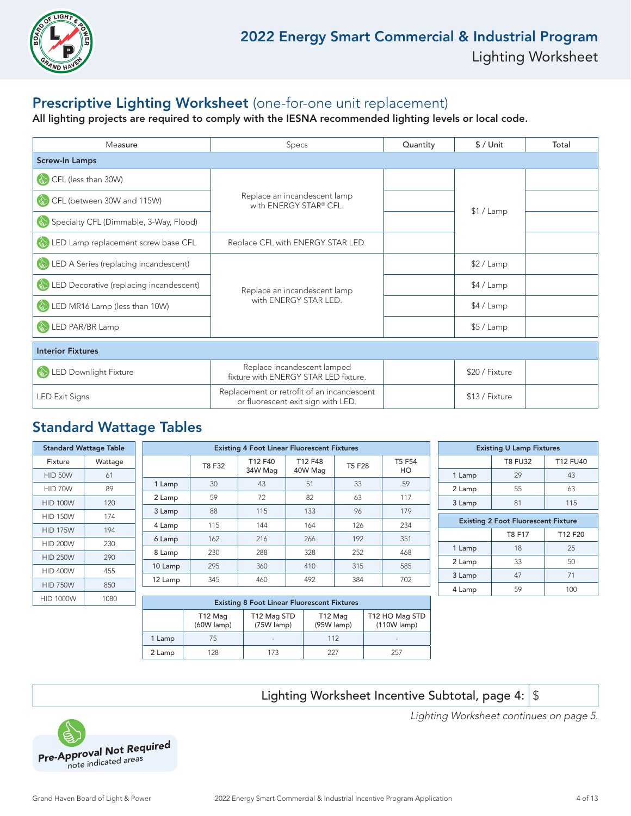

### Prescriptive Lighting Worksheet (one-for-one unit replacement)

All lighting projects are required to comply with the IESNA recommended lighting levels or local code.

| Measure                                           | <b>Specs</b>                                                                     | Quantity | $$/$ Unit      | Total |
|---------------------------------------------------|----------------------------------------------------------------------------------|----------|----------------|-------|
| <b>Screw-In Lamps</b>                             |                                                                                  |          |                |       |
| CFL (less than 30W)<br>$\left(\frac{1}{2}\right)$ |                                                                                  |          |                |       |
| CFL (between 30W and 115W)                        | Replace an incandescent lamp<br>with ENERGY STAR® CFL.                           |          |                |       |
| Specialty CFL (Dimmable, 3-Way, Flood)            |                                                                                  |          | \$1 / Lamp     |       |
| LED Lamp replacement screw base CFL               | Replace CFL with ENERGY STAR LED.                                                |          |                |       |
| LED A Series (replacing incandescent)             |                                                                                  |          | \$2 / Lamp     |       |
| LED Decorative (replacing incandescent)           | Replace an incandescent lamp                                                     |          | \$4 / Lamp     |       |
| $\binom{1}{2}$<br>LED MR16 Lamp (less than 10W)   | with ENERGY STAR LED.                                                            |          | \$4 / Lamp     |       |
| LED PAR/BR Lamp<br>$\mathbb{Z}$                   |                                                                                  |          | $$5/$ Lamp     |       |
| <b>Interior Fixtures</b>                          |                                                                                  |          |                |       |
| LED Downlight Fixture                             | Replace incandescent lamped<br>fixture with ENERGY STAR LED fixture.             |          | \$20 / Fixture |       |
| <b>LED Exit Signs</b>                             | Replacement or retrofit of an incandescent<br>or fluorescent exit sign with LED. |          | \$13 / Fixture |       |

### Standard Wattage Tables

|                  | <b>Standard Wattage Table</b> |         | <b>Existing 4 Foot Linear Fluorescent Fixtures</b> |                                               |         |               |        | <b>Existing U Lamp Fixtures</b>            |                |                 |
|------------------|-------------------------------|---------|----------------------------------------------------|-----------------------------------------------|---------|---------------|--------|--------------------------------------------|----------------|-----------------|
| Fixture          | Wattage                       |         | T8 F32                                             | T12 F40                                       | T12 F48 | <b>T5 F28</b> | T5 F54 |                                            | <b>T8 FU32</b> | <b>T12 FU40</b> |
| HID 50W          | 61                            |         |                                                    | 34W Mag                                       | 40W Mag |               | HO     | 1 Lamp                                     | 29             | 43              |
| HID 70W          | 89                            | 1 Lamp  | 30                                                 | 43                                            | 51      | 33            | 59     | 2 Lamp                                     | 55             | 63              |
| <b>HID 100W</b>  | 120                           | 2 Lamp  | 59                                                 | 72                                            | 82      | 63            | 117    | 3 Lamp                                     | 81             | 115             |
| <b>HID 150W</b>  | 174                           | 3 Lamp  | 88                                                 | 115                                           | 133     | 96            | 179    |                                            |                |                 |
|                  |                               | 4 Lamp  | 115                                                | 144                                           | 164     | 126           | 234    | <b>Existing 2 Foot Fluorescent Fixture</b> |                |                 |
| <b>HID 175W</b>  | 194                           | 6 Lamp  | 162                                                | 216                                           | 266     | 192           | 351    |                                            | T8 F17         | T12 F20         |
| <b>HID 200W</b>  | 230                           |         |                                                    |                                               |         |               |        | 1 Lamp                                     | 18             | 25              |
| <b>HID 250W</b>  | 290                           | 8 Lamp  | 230                                                | 288                                           | 328     | 252           | 468    |                                            |                |                 |
| <b>HID 400W</b>  | 455                           | 10 Lamp | 295                                                | 360                                           | 410     | 315           | 585    | 2 Lamp                                     | 33             | 50              |
|                  |                               | 12 Lamp | 345                                                | 460                                           | 492     | 384           | 702    | 3 Lamp                                     | 47             | 71              |
| <b>HID 750W</b>  | 850                           |         |                                                    |                                               |         |               |        | 4 Lamp                                     | 59             | 100             |
| <b>HID 1000W</b> | 1080                          |         |                                                    | Futuring O Face History Fluturescent Flutures |         |               |        |                                            |                |                 |

| <b>Existing 8 Foot Linear Fluorescent Fixtures</b> |                                                                                                                |     |     |     |  |  |  |
|----------------------------------------------------|----------------------------------------------------------------------------------------------------------------|-----|-----|-----|--|--|--|
|                                                    | T12 HO Mag STD<br>T12 Mag STD<br>T12 Mag<br>T12 Mag<br>(75W lamp)<br>(95W lamp)<br>(60W lamp)<br>$(110W$ lamp) |     |     |     |  |  |  |
| 1 Lamp                                             | 75                                                                                                             | -   | 112 |     |  |  |  |
| 2 Lamp                                             | 128                                                                                                            | 173 | 227 | 257 |  |  |  |

Lighting Worksheet Incentive Subtotal, page 4:  $\frac{1}{3}$ 



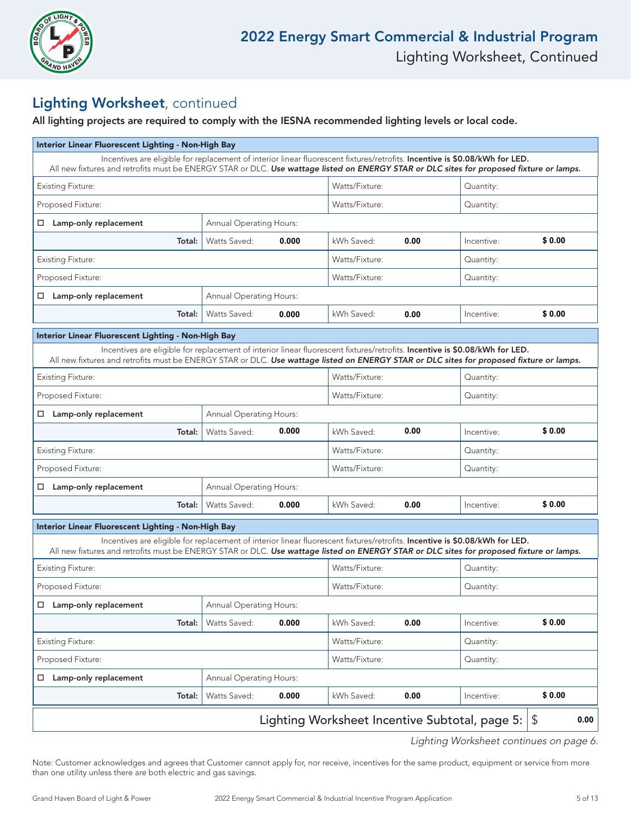

### Lighting Worksheet, continued

All lighting projects are required to comply with the IESNA recommended lighting levels or local code.

| Interior Linear Fluorescent Lighting - Non-High Bay                                                                                                                                                                                                                     |                                |       |                |      |            |        |
|-------------------------------------------------------------------------------------------------------------------------------------------------------------------------------------------------------------------------------------------------------------------------|--------------------------------|-------|----------------|------|------------|--------|
| Incentives are eligible for replacement of interior linear fluorescent fixtures/retrofits. Incentive is \$0.08/kWh for LED.<br>All new fixtures and retrofits must be ENERGY STAR or DLC. Use wattage listed on ENERGY STAR or DLC sites for proposed fixture or lamps. |                                |       |                |      |            |        |
| <b>Existing Fixture:</b>                                                                                                                                                                                                                                                |                                |       | Watts/Fixture: |      |            |        |
| Proposed Fixture:                                                                                                                                                                                                                                                       |                                |       | Watts/Fixture: |      | Quantity:  |        |
| Lamp-only replacement<br>$\Box$                                                                                                                                                                                                                                         | <b>Annual Operating Hours:</b> |       |                |      |            |        |
| Total:                                                                                                                                                                                                                                                                  | Watts Saved:                   | 0.000 | kWh Saved:     | 0.00 | Incentive: | \$0.00 |
| <b>Existing Fixture:</b>                                                                                                                                                                                                                                                |                                |       | Watts/Fixture: |      | Quantity:  |        |
| Proposed Fixture:                                                                                                                                                                                                                                                       |                                |       | Watts/Fixture: |      | Quantity:  |        |
| Lamp-only replacement<br>$\Box$                                                                                                                                                                                                                                         | <b>Annual Operating Hours:</b> |       |                |      |            |        |
| Total:                                                                                                                                                                                                                                                                  | Watts Saved:                   | 0.000 | kWh Saved:     | 0.00 | Incentive: | \$0.00 |
| Interior Linear Fluorescent Lighting - Non-High Bay                                                                                                                                                                                                                     |                                |       |                |      |            |        |
| Incentives are eligible for replacement of interior linear fluorescent fixtures/retrofits. Incentive is \$0.08/kWh for LED.<br>All new fixtures and retrofits must be ENERGY STAR or DLC. Use wattage listed on ENERGY STAR or DLC sites for proposed fixture or lamps. |                                |       |                |      |            |        |
| <b>Existing Fixture:</b>                                                                                                                                                                                                                                                |                                |       | Watts/Fixture: |      | Quantity:  |        |
| Proposed Fixture:                                                                                                                                                                                                                                                       |                                |       | Watts/Fixture: |      | Quantity:  |        |
| $\Box$ Lamp-only replacement                                                                                                                                                                                                                                            | <b>Annual Operating Hours:</b> |       |                |      |            |        |
| Total:                                                                                                                                                                                                                                                                  | Watts Saved:                   | 0.000 | kWh Saved:     | 0.00 | Incentive: | \$0.00 |
| <b>Existing Fixture:</b>                                                                                                                                                                                                                                                |                                |       | Watts/Fixture: |      | Quantity:  |        |
| Proposed Fixture:                                                                                                                                                                                                                                                       |                                |       | Watts/Fixture: |      | Quantity:  |        |
| Lamp-only replacement                                                                                                                                                                                                                                                   | <b>Annual Operating Hours:</b> |       |                |      |            |        |
| Total:                                                                                                                                                                                                                                                                  | Watts Saved:                   | 0.000 | kWh Saved:     | 0.00 | Incentive: | \$0.00 |
| Interior Linear Fluorescent Lighting - Non-High Bay                                                                                                                                                                                                                     |                                |       |                |      |            |        |
| Incentives are eligible for replacement of interior linear fluorescent fixtures/retrofits. Incentive is \$0.08/kWh for LED.<br>All new fixtures and retrofits must be ENERGY STAR or DLC. Use wattage listed on ENERGY STAR or DLC sites for proposed fixture or lamps. |                                |       |                |      |            |        |
| <b>Existing Fixture:</b>                                                                                                                                                                                                                                                |                                |       | Watts/Fixture: |      | Quantity:  |        |
| Proposed Fixture:                                                                                                                                                                                                                                                       |                                |       | Watts/Fixture: |      | Quantity:  |        |
| Lamp-only replacement                                                                                                                                                                                                                                                   | <b>Annual Operating Hours:</b> |       |                |      |            |        |
| Total:                                                                                                                                                                                                                                                                  | Watts Saved:                   | 0.000 | kWh Saved:     | 0.00 | Incentive: | \$0.00 |
| <b>Existing Fixture:</b>                                                                                                                                                                                                                                                |                                |       | Watts/Fixture: |      | Quantity:  |        |
| Proposed Fixture:                                                                                                                                                                                                                                                       | Watts/Fixture:                 |       | Quantity:      |      |            |        |
| Lamp-only replacement<br>□                                                                                                                                                                                                                                              | Annual Operating Hours:        |       |                |      |            |        |
| Total:                                                                                                                                                                                                                                                                  | Watts Saved:                   | 0.000 | kWh Saved:     | 0.00 | Incentive: | \$0.00 |
| Lighting Worksheet Incentive Subtotal, page 5:<br>\$                                                                                                                                                                                                                    |                                |       |                |      |            |        |
|                                                                                                                                                                                                                                                                         |                                |       |                |      |            |        |

Lighting Worksheet continues on page 6.

Note: Customer acknowledges and agrees that Customer cannot apply for, nor receive, incentives for the same product, equipment or service from more than one utility unless there are both electric and gas savings.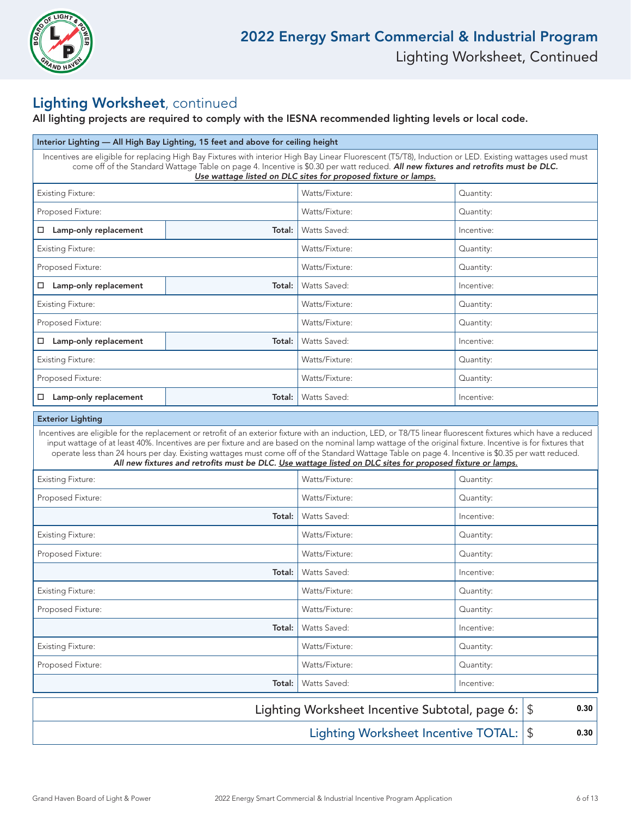

### Lighting Worksheet, continued

### All lighting projects are required to comply with the IESNA recommended lighting levels or local code.

| Interior Lighting — All High Bay Lighting, 15 feet and above for ceiling height                                                                                                                                                                                                                                                                                                                                                                                                       |        |                                                                                                            |            |  |  |  |
|---------------------------------------------------------------------------------------------------------------------------------------------------------------------------------------------------------------------------------------------------------------------------------------------------------------------------------------------------------------------------------------------------------------------------------------------------------------------------------------|--------|------------------------------------------------------------------------------------------------------------|------------|--|--|--|
| Incentives are eligible for replacing High Bay Fixtures with interior High Bay Linear Fluorescent (T5/T8), Induction or LED. Existing wattages used must<br>come off of the Standard Wattage Table on page 4. Incentive is \$0.30 per watt reduced. All new fixtures and retrofits must be DLC.<br>Use wattage listed on DLC sites for proposed fixture or lamps.                                                                                                                     |        |                                                                                                            |            |  |  |  |
| <b>Existing Fixture:</b>                                                                                                                                                                                                                                                                                                                                                                                                                                                              |        | Watts/Fixture:                                                                                             | Quantity:  |  |  |  |
| Proposed Fixture:                                                                                                                                                                                                                                                                                                                                                                                                                                                                     |        | Watts/Fixture:                                                                                             | Quantity:  |  |  |  |
| □ Lamp-only replacement                                                                                                                                                                                                                                                                                                                                                                                                                                                               | Total: | Watts Saved:                                                                                               | Incentive: |  |  |  |
| <b>Existing Fixture:</b>                                                                                                                                                                                                                                                                                                                                                                                                                                                              |        | Watts/Fixture:                                                                                             | Quantity:  |  |  |  |
| Proposed Fixture:                                                                                                                                                                                                                                                                                                                                                                                                                                                                     |        | Watts/Fixture:                                                                                             | Quantity:  |  |  |  |
| $\Box$ Lamp-only replacement                                                                                                                                                                                                                                                                                                                                                                                                                                                          | Total: | Watts Saved:                                                                                               | Incentive: |  |  |  |
| <b>Existing Fixture:</b>                                                                                                                                                                                                                                                                                                                                                                                                                                                              |        | Watts/Fixture:                                                                                             | Quantity:  |  |  |  |
| Proposed Fixture:                                                                                                                                                                                                                                                                                                                                                                                                                                                                     |        | Watts/Fixture:                                                                                             | Quantity:  |  |  |  |
| □ Lamp-only replacement                                                                                                                                                                                                                                                                                                                                                                                                                                                               | Total: | Watts Saved:                                                                                               | Incentive: |  |  |  |
| <b>Existing Fixture:</b>                                                                                                                                                                                                                                                                                                                                                                                                                                                              |        | Watts/Fixture:                                                                                             | Quantity:  |  |  |  |
| Proposed Fixture:                                                                                                                                                                                                                                                                                                                                                                                                                                                                     |        | Watts/Fixture:                                                                                             | Quantity:  |  |  |  |
| □ Lamp-only replacement                                                                                                                                                                                                                                                                                                                                                                                                                                                               | Total: | Watts Saved:                                                                                               | Incentive: |  |  |  |
| <b>Exterior Lighting</b>                                                                                                                                                                                                                                                                                                                                                                                                                                                              |        |                                                                                                            |            |  |  |  |
| Incentives are eligible for the replacement or retrofit of an exterior fixture with an induction, LED, or T8/T5 linear fluorescent fixtures which have a reduced<br>input wattage of at least 40%. Incentives are per fixture and are based on the nominal lamp wattage of the original fixture. Incentive is for fixtures that<br>operate less than 24 hours per day. Existing wattages must come off of the Standard Wattage Table on page 4. Incentive is \$0.35 per watt reduced. |        | All new fixtures and retrofits must be DLC. Use wattage listed on DLC sites for proposed fixture or lamps. |            |  |  |  |
| <b>Existing Fixture:</b>                                                                                                                                                                                                                                                                                                                                                                                                                                                              |        | Watts/Fixture:                                                                                             | Quantity:  |  |  |  |
| Proposed Fixture:                                                                                                                                                                                                                                                                                                                                                                                                                                                                     |        | Watts/Fixture:                                                                                             | Quantity:  |  |  |  |
|                                                                                                                                                                                                                                                                                                                                                                                                                                                                                       | Total: | Watts Saved:                                                                                               | Incentive: |  |  |  |
| <b>Existing Fixture:</b>                                                                                                                                                                                                                                                                                                                                                                                                                                                              |        | Watts/Fixture:                                                                                             | Quantity:  |  |  |  |
| Proposed Fixture:                                                                                                                                                                                                                                                                                                                                                                                                                                                                     |        | Watts/Fixture:                                                                                             | Quantity:  |  |  |  |
|                                                                                                                                                                                                                                                                                                                                                                                                                                                                                       | Total: | Watts Saved:                                                                                               | Incentive: |  |  |  |
| <b>Existing Fixture:</b>                                                                                                                                                                                                                                                                                                                                                                                                                                                              |        | Watts/Fixture:                                                                                             | Quantity:  |  |  |  |
| Proposed Fixture:                                                                                                                                                                                                                                                                                                                                                                                                                                                                     |        | Watts/Fixture:                                                                                             | Quantity:  |  |  |  |
|                                                                                                                                                                                                                                                                                                                                                                                                                                                                                       | Total: | Watts Saved:                                                                                               | Incentive: |  |  |  |
| <b>Existing Fixture:</b>                                                                                                                                                                                                                                                                                                                                                                                                                                                              |        | Watts/Fixture:                                                                                             | Quantity:  |  |  |  |
| Proposed Fixture:                                                                                                                                                                                                                                                                                                                                                                                                                                                                     |        | Watts/Fixture:                                                                                             | Quantity:  |  |  |  |
| Watts Saved:<br>Total:<br>Incentive:                                                                                                                                                                                                                                                                                                                                                                                                                                                  |        |                                                                                                            |            |  |  |  |
| Lighting Worksheet Incentive Subtotal, page 6:<br>0.30<br>\$                                                                                                                                                                                                                                                                                                                                                                                                                          |        |                                                                                                            |            |  |  |  |
| <b>Lighting Worksheet Incentive TOTAL:</b><br>$\boldsymbol{\theta}$<br>0.30                                                                                                                                                                                                                                                                                                                                                                                                           |        |                                                                                                            |            |  |  |  |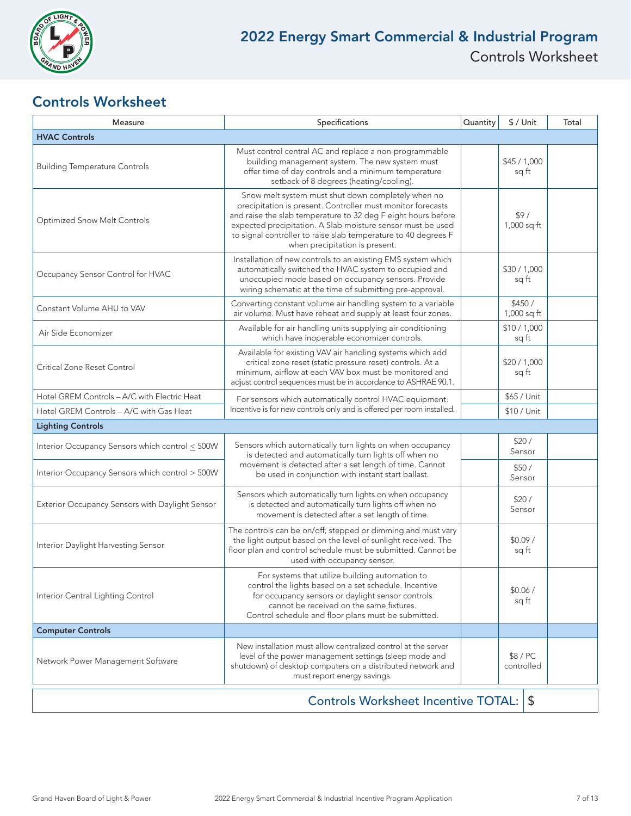

### Controls Worksheet

| Measure                                          | Specifications                                                                                                                                                                                                                                                                                                                                        | Quantity | $$/$ Unit             | Total |  |  |
|--------------------------------------------------|-------------------------------------------------------------------------------------------------------------------------------------------------------------------------------------------------------------------------------------------------------------------------------------------------------------------------------------------------------|----------|-----------------------|-------|--|--|
| <b>HVAC Controls</b>                             |                                                                                                                                                                                                                                                                                                                                                       |          |                       |       |  |  |
| <b>Building Temperature Controls</b>             | Must control central AC and replace a non-programmable<br>building management system. The new system must<br>offer time of day controls and a minimum temperature<br>setback of 8 degrees (heating/cooling).                                                                                                                                          |          | \$45/1,000<br>sq ft   |       |  |  |
| Optimized Snow Melt Controls                     | Snow melt system must shut down completely when no<br>precipitation is present. Controller must monitor forecasts<br>and raise the slab temperature to 32 deg F eight hours before<br>expected precipitation. A Slab moisture sensor must be used<br>to signal controller to raise slab temperature to 40 degrees F<br>when precipitation is present. |          | \$9/<br>1,000 sq ft   |       |  |  |
| Occupancy Sensor Control for HVAC                | Installation of new controls to an existing EMS system which<br>automatically switched the HVAC system to occupied and<br>unoccupied mode based on occupancy sensors. Provide<br>wiring schematic at the time of submitting pre-approval.                                                                                                             |          | \$30 / 1,000<br>sq ft |       |  |  |
| Constant Volume AHU to VAV                       | Converting constant volume air handling system to a variable<br>air volume. Must have reheat and supply at least four zones.                                                                                                                                                                                                                          |          | \$450/<br>1,000 sq ft |       |  |  |
| Air Side Economizer                              | Available for air handling units supplying air conditioning<br>which have inoperable economizer controls.                                                                                                                                                                                                                                             |          | \$10/1,000<br>sq ft   |       |  |  |
| Critical Zone Reset Control                      | Available for existing VAV air handling systems which add<br>critical zone reset (static pressure reset) controls. At a<br>minimum, airflow at each VAV box must be monitored and<br>adjust control sequences must be in accordance to ASHRAE 90.1.                                                                                                   |          | \$20/1,000<br>sq ft   |       |  |  |
| Hotel GREM Controls - A/C with Electric Heat     | For sensors which automatically control HVAC equipment.                                                                                                                                                                                                                                                                                               |          | \$65 / Unit           |       |  |  |
| Hotel GREM Controls - A/C with Gas Heat          | Incentive is for new controls only and is offered per room installed.                                                                                                                                                                                                                                                                                 |          | \$10 / Unit           |       |  |  |
| <b>Lighting Controls</b>                         |                                                                                                                                                                                                                                                                                                                                                       |          |                       |       |  |  |
| Interior Occupancy Sensors which control < 500W  | Sensors which automatically turn lights on when occupancy<br>is detected and automatically turn lights off when no<br>movement is detected after a set length of time. Cannot<br>be used in conjunction with instant start ballast.                                                                                                                   |          | \$20/<br>Sensor       |       |  |  |
| Interior Occupancy Sensors which control > 500W  |                                                                                                                                                                                                                                                                                                                                                       |          | \$50/<br>Sensor       |       |  |  |
| Exterior Occupancy Sensors with Daylight Sensor  | Sensors which automatically turn lights on when occupancy<br>is detected and automatically turn lights off when no<br>movement is detected after a set length of time.                                                                                                                                                                                |          | \$20/<br>Sensor       |       |  |  |
| Interior Daylight Harvesting Sensor              | The controls can be on/off, stepped or dimming and must vary<br>the light output based on the level of sunlight received. The<br>floor plan and control schedule must be submitted. Cannot be<br>used with occupancy sensor.                                                                                                                          |          | \$0.09/<br>sq ft      |       |  |  |
| Interior Central Lighting Control                | For systems that utilize building automation to<br>control the lights based on a set schedule. Incentive<br>for occupancy sensors or daylight sensor controls<br>cannot be received on the same fixtures.<br>Control schedule and floor plans must be submitted.                                                                                      |          | \$0.06/<br>sq ft      |       |  |  |
| <b>Computer Controls</b>                         |                                                                                                                                                                                                                                                                                                                                                       |          |                       |       |  |  |
| Network Power Management Software                | New installation must allow centralized control at the server<br>level of the power management settings (sleep mode and<br>shutdown) of desktop computers on a distributed network and<br>must report energy savings.                                                                                                                                 |          | \$8/PC<br>controlled  |       |  |  |
| <b>Controls Worksheet Incentive TOTAL:</b><br>\$ |                                                                                                                                                                                                                                                                                                                                                       |          |                       |       |  |  |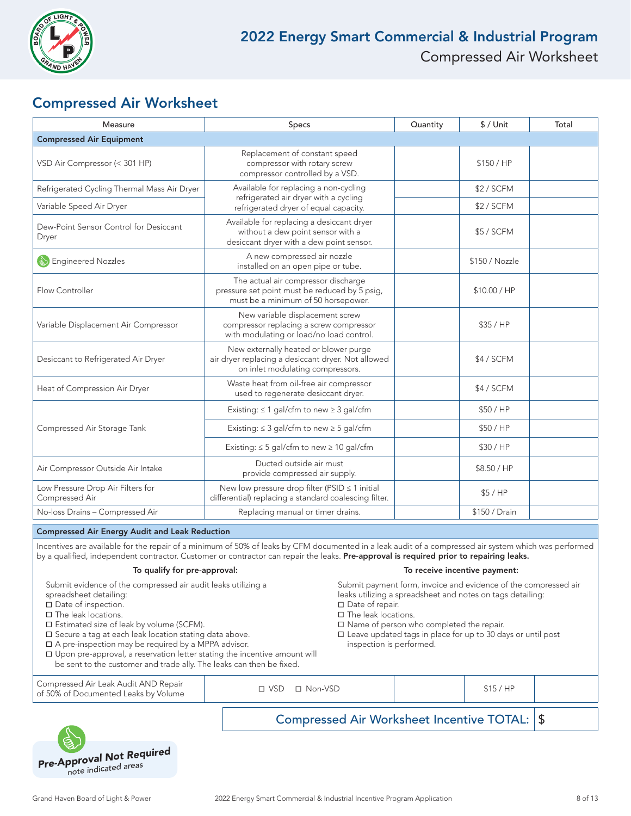

### Compressed Air Worksheet

| Measure                                             | Specs                                                                                                                           | Quantity   | $$/$ Unit      | Total |
|-----------------------------------------------------|---------------------------------------------------------------------------------------------------------------------------------|------------|----------------|-------|
| <b>Compressed Air Equipment</b>                     |                                                                                                                                 |            |                |       |
| VSD Air Compressor (< 301 HP)                       | Replacement of constant speed<br>compressor with rotary screw<br>compressor controlled by a VSD.                                | \$150 / HP |                |       |
| Refrigerated Cycling Thermal Mass Air Dryer         | Available for replacing a non-cycling                                                                                           |            | \$2 / SCFM     |       |
| Variable Speed Air Dryer                            | refrigerated air dryer with a cycling<br>refrigerated dryer of equal capacity.                                                  |            | \$2 / SCFM     |       |
| Dew-Point Sensor Control for Desiccant<br>Dryer     | Available for replacing a desiccant dryer<br>without a dew point sensor with a<br>desiccant dryer with a dew point sensor.      |            | \$5 / SCFM     |       |
| <b>Engineered Nozzles</b>                           | A new compressed air nozzle<br>installed on an open pipe or tube.                                                               |            | \$150 / Nozzle |       |
| Flow Controller                                     | The actual air compressor discharge<br>pressure set point must be reduced by 5 psig,<br>must be a minimum of 50 horsepower.     |            | \$10.00 / HP   |       |
| Variable Displacement Air Compressor                | New variable displacement screw<br>compressor replacing a screw compressor<br>with modulating or load/no load control.          |            | \$35/HP        |       |
| Desiccant to Refrigerated Air Dryer                 | New externally heated or blower purge<br>air dryer replacing a desiccant dryer. Not allowed<br>on inlet modulating compressors. |            | \$4 / SCFM     |       |
| Heat of Compression Air Dryer                       | Waste heat from oil-free air compressor<br>used to regenerate desiccant dryer.                                                  |            | \$4 / SCFM     |       |
|                                                     | Existing: $\leq 1$ gal/cfm to new $\geq 3$ gal/cfm                                                                              |            | \$50/HP        |       |
| Compressed Air Storage Tank                         | Existing: $\leq$ 3 gal/cfm to new $\geq$ 5 gal/cfm                                                                              |            | \$50/HP        |       |
|                                                     | Existing: $\leq$ 5 gal/cfm to new $\geq$ 10 gal/cfm                                                                             | \$30 / HP  |                |       |
| Air Compressor Outside Air Intake                   | Ducted outside air must<br>provide compressed air supply.                                                                       |            | \$8.50 / HP    |       |
| Low Pressure Drop Air Filters for<br>Compressed Air | New low pressure drop filter (PSID ≤ 1 initial<br>differential) replacing a standard coalescing filter.                         |            | \$5/HP         |       |
| No-loss Drains - Compressed Air                     | Replacing manual or timer drains.                                                                                               |            | \$150 / Drain  |       |

#### Compressed Air Energy Audit and Leak Reduction

Incentives are available for the repair of a minimum of 50% of leaks by CFM documented in a leak audit of a compressed air system which was performed by a qualified, independent contractor. Customer or contractor can repair the leaks. Pre-approval is required prior to repairing leaks.

#### To qualify for pre-approval: To receive incentive payment:

Submit evidence of the compressed air audit leaks utilizing a

- spreadsheet detailing:
- $\square$  Date of inspection.
- □ The leak locations.
- □ Estimated size of leak by volume (SCFM).
- $\square$  Secure a tag at each leak location stating data above.
- $\Box$  A pre-inspection may be required by a MPPA advisor.
- $\Box$  Upon pre-approval, a reservation letter stating the incentive amount will be sent to the customer and trade ally. The leaks can then be fixed.

Submit payment form, invoice and evidence of the compressed air leaks utilizing a spreadsheet and notes on tags detailing:  $\Box$  Date of repair.

- $\square$  The leak locations.
- $\square$  Name of person who completed the repair.
- $\square$  Leave updated tags in place for up to 30 days or until post inspection is performed.

| \$15/HP<br>$\Box$ VSD $\Box$ Non-VSD<br>of 50% of Documented Leaks by Volume |                                      | Compressed Air Worksheet Incentive TOTAL: \$ |  |
|------------------------------------------------------------------------------|--------------------------------------|----------------------------------------------|--|
|                                                                              | Compressed Air Leak Audit AND Repair |                                              |  |

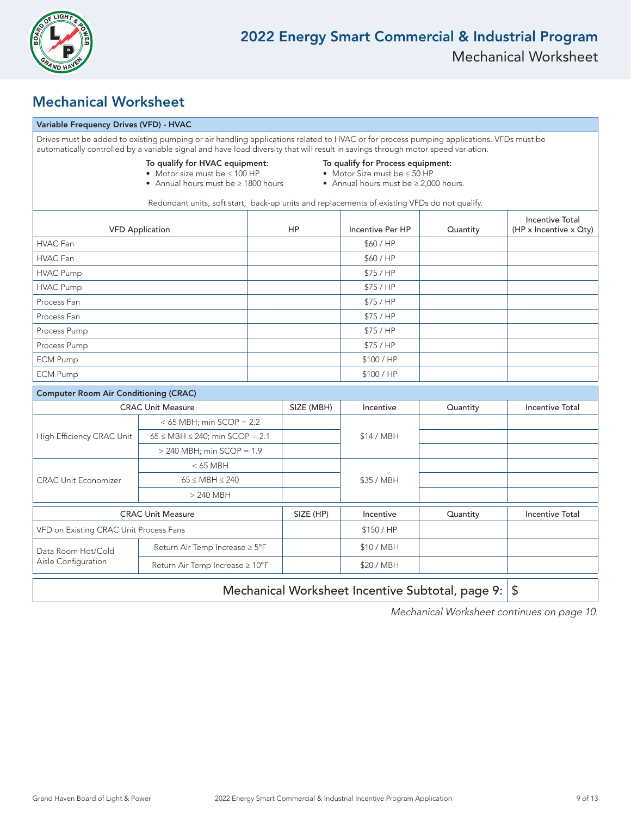

### Mechanical Worksheet

#### Variable Frequency Drives (VFD) - HVAC

|                                              | Drives must be added to existing pumping or air handling applications related to HVAC or for process pumping applications. VFDs must be<br>automatically controlled by a variable signal and have load diversity that will result in savings through motor speed variation. |                                                                                                                      |                  |          |                                                  |
|----------------------------------------------|-----------------------------------------------------------------------------------------------------------------------------------------------------------------------------------------------------------------------------------------------------------------------------|----------------------------------------------------------------------------------------------------------------------|------------------|----------|--------------------------------------------------|
|                                              | To qualify for HVAC equipment:<br>• Motor size must be ≤ 100 HP<br>• Annual hours must be $\geq 1800$ hours                                                                                                                                                                 | To qualify for Process equipment:<br>• Motor Size must be $\leq$ 50 HP<br>• Annual hours must be $\geq 2,000$ hours. |                  |          |                                                  |
|                                              | Redundant units, soft start, back-up units and replacements of existing VFDs do not qualify.                                                                                                                                                                                |                                                                                                                      |                  |          |                                                  |
| <b>VFD Application</b>                       |                                                                                                                                                                                                                                                                             | <b>HP</b>                                                                                                            | Incentive Per HP | Quantity | <b>Incentive Total</b><br>(HP x Incentive x Qty) |
| HVAC Fan                                     |                                                                                                                                                                                                                                                                             |                                                                                                                      | \$60/HP          |          |                                                  |
| HVAC Fan                                     |                                                                                                                                                                                                                                                                             |                                                                                                                      | \$60/HP          |          |                                                  |
| <b>HVAC Pump</b>                             |                                                                                                                                                                                                                                                                             |                                                                                                                      | \$75/HP          |          |                                                  |
| <b>HVAC Pump</b>                             |                                                                                                                                                                                                                                                                             |                                                                                                                      | \$75/HP          |          |                                                  |
| Process Fan                                  |                                                                                                                                                                                                                                                                             |                                                                                                                      | \$75/HP          |          |                                                  |
| Process Fan                                  |                                                                                                                                                                                                                                                                             |                                                                                                                      | \$75/HP          |          |                                                  |
| Process Pump                                 |                                                                                                                                                                                                                                                                             |                                                                                                                      | \$75/HP          |          |                                                  |
| Process Pump                                 |                                                                                                                                                                                                                                                                             |                                                                                                                      | \$75/HP          |          |                                                  |
| <b>ECM Pump</b>                              |                                                                                                                                                                                                                                                                             |                                                                                                                      | \$100 / HP       |          |                                                  |
| <b>ECM Pump</b>                              |                                                                                                                                                                                                                                                                             |                                                                                                                      | \$100 / HP       |          |                                                  |
| <b>Computer Room Air Conditioning (CRAC)</b> |                                                                                                                                                                                                                                                                             |                                                                                                                      |                  |          |                                                  |
|                                              | <b>CRAC Unit Measure</b>                                                                                                                                                                                                                                                    | SIZE (MBH)                                                                                                           | Incentive        | Quantity | <b>Incentive Total</b>                           |
|                                              | $<$ 65 MBH; min SCOP = 2.2                                                                                                                                                                                                                                                  |                                                                                                                      |                  |          |                                                  |
| High Efficiency CRAC Unit                    | $65 \leq \text{MBH} \leq 240$ ; min SCOP = 2.1                                                                                                                                                                                                                              |                                                                                                                      | \$14 / MBH       |          |                                                  |
|                                              | $>$ 240 MBH; min SCOP = 1.9                                                                                                                                                                                                                                                 |                                                                                                                      |                  |          |                                                  |
|                                              | $< 65$ MBH                                                                                                                                                                                                                                                                  |                                                                                                                      |                  |          |                                                  |
| <b>CRAC Unit Economizer</b>                  | $65 \leq \text{MBH} \leq 240$                                                                                                                                                                                                                                               |                                                                                                                      | \$35 / MBH       |          |                                                  |
|                                              | $> 240$ MBH                                                                                                                                                                                                                                                                 |                                                                                                                      |                  |          |                                                  |
| <b>CRAC Unit Measure</b>                     |                                                                                                                                                                                                                                                                             | SIZE (HP)                                                                                                            | Incentive        | Quantity | <b>Incentive Total</b>                           |
| VFD on Existing CRAC Unit Process Fans       |                                                                                                                                                                                                                                                                             |                                                                                                                      | \$150 / HP       |          |                                                  |
| Data Room Hot/Cold                           | Return Air Temp Increase ≥ 5°F                                                                                                                                                                                                                                              |                                                                                                                      | \$10 / MBH       |          |                                                  |
| Aisle Configuration                          | Return Air Temp Increase ≥ 10°F                                                                                                                                                                                                                                             |                                                                                                                      | \$20 / MBH       |          |                                                  |
|                                              | Mechanical Worksheet Incentive Subtotal, page 9:<br>\$                                                                                                                                                                                                                      |                                                                                                                      |                  |          |                                                  |

Mechanical Worksheet continues on page 10.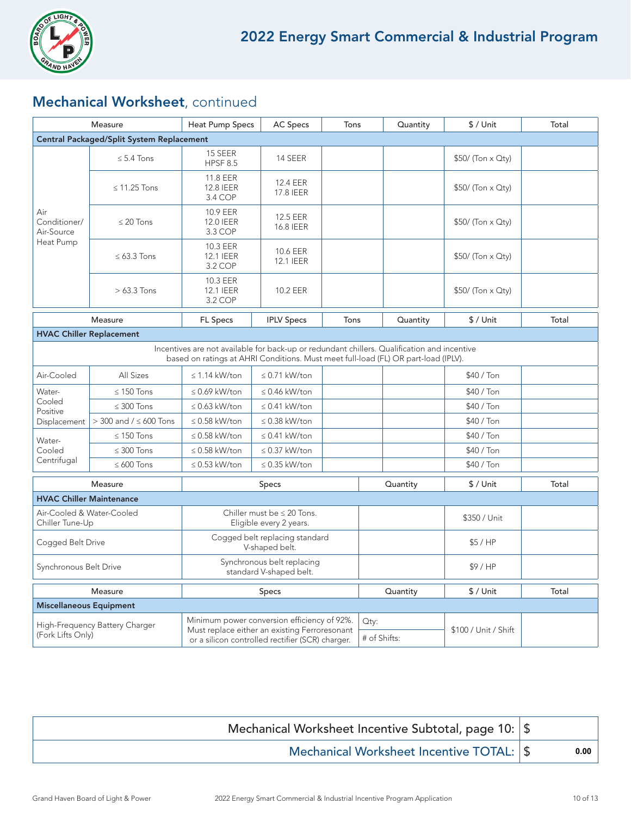

### Mechanical Worksheet, continued

| Measure                                             |                                | <b>Heat Pump Specs</b><br><b>AC Specs</b>                                                                                                                                         |                              | Tons     |              | Quantity  | $$/$ Unit            | Total |
|-----------------------------------------------------|--------------------------------|-----------------------------------------------------------------------------------------------------------------------------------------------------------------------------------|------------------------------|----------|--------------|-----------|----------------------|-------|
| <b>Central Packaged/Split System Replacement</b>    |                                |                                                                                                                                                                                   |                              |          |              |           |                      |       |
| Air<br>Conditioner/<br>Air-Source<br>Heat Pump      | $\leq$ 5.4 Tons                | 15 SEER<br><b>HPSF 8.5</b>                                                                                                                                                        | 14 SEER                      |          |              |           | \$50/ (Ton x Qty)    |       |
|                                                     | $\leq$ 11.25 Tons              | 11.8 EER<br>12.8 IEER<br>3.4 COP                                                                                                                                                  | 12.4 EER<br>17.8 IEER        |          |              |           | \$50/ (Ton x Qty)    |       |
|                                                     | $\leq$ 20 Tons                 | 10.9 EER<br><b>12.0 IEER</b><br>3.3 COP                                                                                                                                           | 12.5 EER<br>16.8 IEER        |          |              |           | $$50/$ (Ton x Qty)   |       |
|                                                     | $\leq 63.3$ Tons               | 10.3 EER<br><b>12.1 IEER</b><br>3.2 COP                                                                                                                                           | 10.6 EER<br><b>12.1 IEER</b> |          |              |           | \$50/ (Ton x Qty)    |       |
|                                                     | $>63.3$ Tons                   | 10.3 EER<br>12.1 IEER<br>3.2 COP                                                                                                                                                  | 10.2 EER                     |          |              |           | \$50/ (Ton x Qty)    |       |
|                                                     | Measure                        | <b>FL Specs</b>                                                                                                                                                                   | <b>IPLV Specs</b>            | Tons     |              | Quantity  | \$ / Unit            | Total |
| <b>HVAC Chiller Replacement</b>                     |                                |                                                                                                                                                                                   |                              |          |              |           |                      |       |
|                                                     |                                | Incentives are not available for back-up or redundant chillers. Qualification and incentive<br>based on ratings at AHRI Conditions. Must meet full-load (FL) OR part-load (IPLV). |                              |          |              |           |                      |       |
| Air-Cooled                                          | All Sizes                      | $\leq$ 1.14 kW/ton                                                                                                                                                                | $\leq$ 0.71 kW/ton           |          |              |           | \$40 / Ton           |       |
| Water-                                              | $\leq$ 150 Tons                | $\leq$ 0.69 kW/ton                                                                                                                                                                | $\leq$ 0.46 kW/ton           |          |              |           | \$40 / Ton           |       |
| Cooled<br>Positive                                  | $\leq$ 300 Tons                | $\leq$ 0.63 kW/ton                                                                                                                                                                | $\leq$ 0.41 kW/ton           |          |              |           | \$40 / Ton           |       |
| Displacement                                        | $>$ 300 and / $\leq$ 600 Tons  | $\leq$ 0.58 kW/ton                                                                                                                                                                | $\leq$ 0.38 kW/ton           |          |              |           | \$40 / Ton           |       |
| Water-                                              | $\leq$ 150 Tons                | $\leq$ 0.58 kW/ton                                                                                                                                                                | $\leq$ 0.41 kW/ton           |          |              |           | $$40/$ Ton           |       |
| Cooled                                              | $\leq 300$ Tons                | $\leq$ 0.58 kW/ton                                                                                                                                                                | $\leq$ 0.37 kW/ton           |          |              |           | \$40 / Ton           |       |
| Centrifugal                                         | $\leq 600$ Tons                | $\leq$ 0.53 kW/ton                                                                                                                                                                | $\leq$ 0.35 kW/ton           |          |              |           | \$40 / Ton           |       |
| Measure                                             |                                | Specs                                                                                                                                                                             |                              | Quantity |              | \$ / Unit | Total                |       |
| <b>HVAC Chiller Maintenance</b>                     |                                |                                                                                                                                                                                   |                              |          |              |           |                      |       |
| Air-Cooled & Water-Cooled<br>Chiller Tune-Up        |                                | Chiller must be $\leq 20$ Tons.<br>Eligible every 2 years.                                                                                                                        |                              |          |              |           | \$350 / Unit         |       |
| Cogged Belt Drive                                   |                                | Cogged belt replacing standard<br>V-shaped belt.                                                                                                                                  |                              |          |              |           | \$5/HP               |       |
| Synchronous Belt Drive                              |                                | Synchronous belt replacing<br>standard V-shaped belt.                                                                                                                             |                              |          |              |           | \$9/HP               |       |
| Measure                                             |                                | Specs                                                                                                                                                                             |                              |          |              | Quantity  | $$/$ Unit            | Total |
|                                                     | <b>Miscellaneous Equipment</b> |                                                                                                                                                                                   |                              |          |              |           |                      |       |
| High-Frequency Battery Charger<br>(Fork Lifts Only) |                                | Minimum power conversion efficiency of 92%.                                                                                                                                       |                              | Qty:     |              |           |                      |       |
|                                                     |                                | Must replace either an existing Ferroresonant<br>or a silicon controlled rectifier (SCR) charger.                                                                                 |                              |          | # of Shifts: |           | \$100 / Unit / Shift |       |

| Mechanical Worksheet Incentive Subtotal, page 10:   \$ |      |
|--------------------------------------------------------|------|
| Mechanical Worksheet Incentive TOTAL: \$               | 0.00 |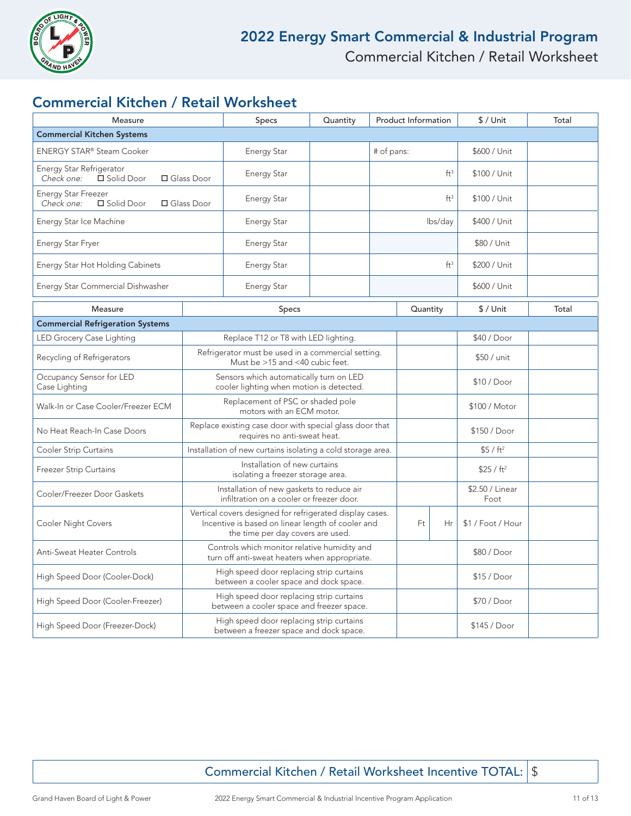

### Commercial Kitchen / Retail Worksheet

| Measure                                                                |                                                                                                                                                    | Specs                                                                                         | Quantity | <b>Product Information</b> |                 | \$ / Unit               | Total        |  |
|------------------------------------------------------------------------|----------------------------------------------------------------------------------------------------------------------------------------------------|-----------------------------------------------------------------------------------------------|----------|----------------------------|-----------------|-------------------------|--------------|--|
| <b>Commercial Kitchen Systems</b>                                      |                                                                                                                                                    |                                                                                               |          |                            |                 |                         |              |  |
| ENERGY STAR® Steam Cooker                                              |                                                                                                                                                    | <b>Energy Star</b>                                                                            |          |                            | # of pans:      |                         | \$600 / Unit |  |
| Energy Star Refrigerator<br>Check one:<br>□ Solid Door<br>□ Glass Door |                                                                                                                                                    | <b>Energy Star</b>                                                                            |          | ft <sup>3</sup>            |                 | \$100 / Unit            |              |  |
| <b>Energy Star Freezer</b><br>Check one:<br>□ Solid Door               | □ Glass Door                                                                                                                                       | <b>Energy Star</b>                                                                            |          |                            | ft <sup>3</sup> |                         | \$100 / Unit |  |
| Energy Star Ice Machine                                                |                                                                                                                                                    | <b>Energy Star</b>                                                                            |          | lbs/day                    |                 | \$400 / Unit            |              |  |
| Energy Star Fryer                                                      |                                                                                                                                                    | <b>Energy Star</b>                                                                            |          |                            |                 | \$80 / Unit             |              |  |
| Energy Star Hot Holding Cabinets                                       |                                                                                                                                                    | <b>Energy Star</b>                                                                            |          | ft <sup>3</sup>            |                 | \$200 / Unit            |              |  |
| Energy Star Commercial Dishwasher                                      |                                                                                                                                                    | <b>Energy Star</b>                                                                            |          |                            |                 | \$600 / Unit            |              |  |
| Measure                                                                |                                                                                                                                                    | <b>Specs</b>                                                                                  |          | Quantity                   |                 | $$/$ Unit               | Total        |  |
| <b>Commercial Refrigeration Systems</b>                                |                                                                                                                                                    |                                                                                               |          |                            |                 |                         |              |  |
| LED Grocery Case Lighting                                              | Replace T12 or T8 with LED lighting.                                                                                                               |                                                                                               |          |                            |                 | \$40 / Door             |              |  |
| Recycling of Refrigerators                                             | Refrigerator must be used in a commercial setting.<br>Must be >15 and <40 cubic feet.                                                              |                                                                                               |          |                            |                 | \$50 / unit             |              |  |
| Occupancy Sensor for LED<br>Case Lighting                              | Sensors which automatically turn on LED<br>cooler lighting when motion is detected.                                                                |                                                                                               |          |                            |                 | \$10 / Door             |              |  |
| Walk-In or Case Cooler/Freezer ECM                                     | Replacement of PSC or shaded pole<br>motors with an ECM motor.                                                                                     |                                                                                               |          |                            |                 | \$100 / Motor           |              |  |
| No Heat Reach-In Case Doors                                            | Replace existing case door with special glass door that<br>requires no anti-sweat heat.                                                            |                                                                                               |          |                            |                 | \$150 / Door            |              |  |
| <b>Cooler Strip Curtains</b>                                           | Installation of new curtains isolating a cold storage area.                                                                                        |                                                                                               |          |                            |                 | \$5 / ft <sup>2</sup>   |              |  |
| <b>Freezer Strip Curtains</b>                                          | Installation of new curtains<br>isolating a freezer storage area.                                                                                  |                                                                                               |          |                            |                 | \$25 / ft <sup>2</sup>  |              |  |
| Cooler/Freezer Door Gaskets                                            | Installation of new gaskets to reduce air<br>infiltration on a cooler or freezer door.                                                             |                                                                                               |          |                            |                 | \$2.50 / Linear<br>Foot |              |  |
| Cooler Night Covers                                                    | Vertical covers designed for refrigerated display cases.<br>Incentive is based on linear length of cooler and<br>the time per day covers are used. |                                                                                               |          | Ft                         | Hr              | \$1 / Foot / Hour       |              |  |
| Anti-Sweat Heater Controls                                             |                                                                                                                                                    | Controls which monitor relative humidity and<br>turn off anti-sweat heaters when appropriate. |          |                            |                 |                         | \$80 / Door  |  |
| High Speed Door (Cooler-Dock)                                          |                                                                                                                                                    | High speed door replacing strip curtains<br>between a cooler space and dock space.            |          |                            |                 |                         | \$15 / Door  |  |
| High Speed Door (Cooler-Freezer)                                       |                                                                                                                                                    | High speed door replacing strip curtains<br>between a cooler space and freezer space.         |          |                            |                 |                         | \$70 / Door  |  |
| High Speed Door (Freezer-Dock)                                         |                                                                                                                                                    | High speed door replacing strip curtains<br>between a freezer space and dock space.           |          |                            |                 |                         | \$145 / Door |  |

Commercial Kitchen / Retail Worksheet Incentive TOTAL: | \$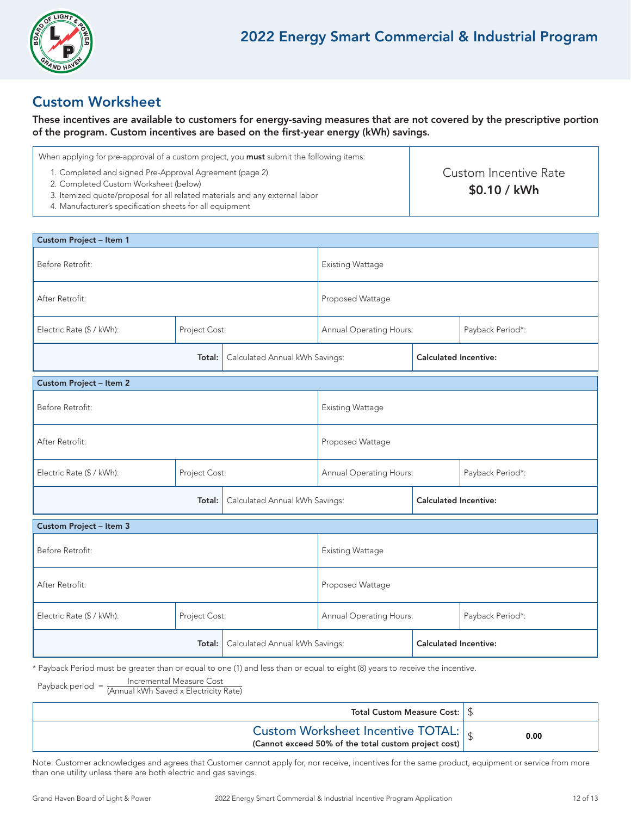

### Custom Worksheet

These incentives are available to customers for energy-saving measures that are not covered by the prescriptive portion of the program. Custom incentives are based on the first-year energy (kWh) savings.

| When applying for pre-approval of a custom project, you <b>must</b> submit the following items:                                         |                                        |  |
|-----------------------------------------------------------------------------------------------------------------------------------------|----------------------------------------|--|
| 1. Completed and signed Pre-Approval Agreement (page 2)<br>2. Completed Custom Worksheet (below)                                        | Custom Incentive Rate<br>$$0.10 /$ kWh |  |
| 3. Itemized quote/proposal for all related materials and any external labor<br>4. Manufacturer's specification sheets for all equipment |                                        |  |

| Custom Project - Item 1                    |        |                                |                         |                              |                  |  |  |
|--------------------------------------------|--------|--------------------------------|-------------------------|------------------------------|------------------|--|--|
| Before Retrofit:                           |        | <b>Existing Wattage</b>        |                         |                              |                  |  |  |
| After Retrofit:                            |        | Proposed Wattage               |                         |                              |                  |  |  |
| Project Cost:<br>Electric Rate (\$ / kWh): |        |                                | Annual Operating Hours: |                              | Payback Period*: |  |  |
| Calculated Annual kWh Savings:<br>Total:   |        |                                |                         | <b>Calculated Incentive:</b> |                  |  |  |
| <b>Custom Project - Item 2</b>             |        |                                |                         |                              |                  |  |  |
| Before Retrofit:                           |        |                                | <b>Existing Wattage</b> |                              |                  |  |  |
| After Retrofit:                            |        |                                | Proposed Wattage        |                              |                  |  |  |
| Project Cost:<br>Electric Rate (\$ / kWh): |        | Annual Operating Hours:        |                         | Payback Period*:             |                  |  |  |
| Total:                                     |        | Calculated Annual kWh Savings: |                         | <b>Calculated Incentive:</b> |                  |  |  |
| Custom Project - Item 3                    |        |                                |                         |                              |                  |  |  |
| Before Retrofit:                           |        |                                | <b>Existing Wattage</b> |                              |                  |  |  |
| After Retrofit:                            |        |                                | Proposed Wattage        |                              |                  |  |  |
| Electric Rate (\$ / kWh):<br>Project Cost: |        |                                | Annual Operating Hours: |                              | Payback Period*: |  |  |
|                                            | Total: | Calculated Annual kWh Savings: |                         | <b>Calculated Incentive:</b> |                  |  |  |

\* Payback Period must be greater than or equal to one (1) and less than or equal to eight (8) years to receive the incentive.

Payback period = Incremental Measure Cost (Annual kWh Saved x Electricity Rate)

| Total Custom Measure Cost: $\frac{1}{3}$                                                                |      |
|---------------------------------------------------------------------------------------------------------|------|
| Custom Worksheet Incentive TOTAL: $\frac{1}{s}$<br>(Cannot exceed 50% of the total custom project cost) | 0.00 |

Note: Customer acknowledges and agrees that Customer cannot apply for, nor receive, incentives for the same product, equipment or service from more than one utility unless there are both electric and gas savings.